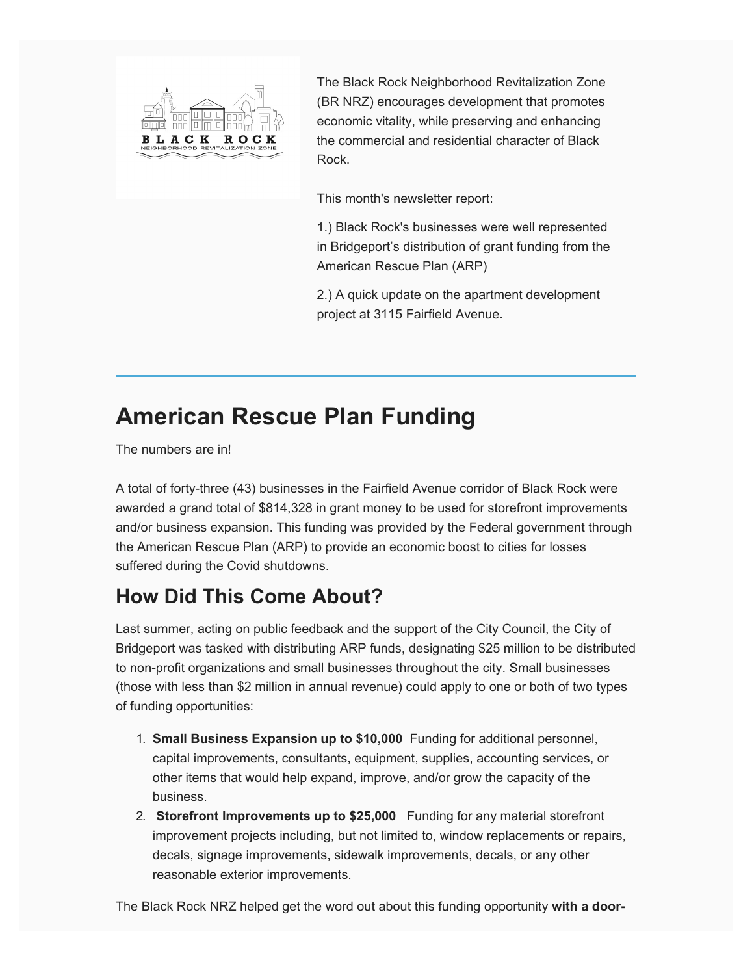

The Black Rock Neighborhood Revitalization Zone (BR NRZ) encourages development that promotes economic vitality, while preserving and enhancing the commercial and residential character of Black Rock.

This month's newsletter report:

1.) Black Rock's businesses were well represented in Bridgeport's distribution of grant funding from the American Rescue Plan (ARP)

2.) A quick update on the apartment development project at 3115 Fairfield Avenue.

## **American Rescue Plan Funding**

The numbers are in!

A total of forty-three (43) businesses in the Fairfield Avenue corridor of Black Rock were awarded a grand total of \$814,328 in grant money to be used for storefront improvements and/or business expansion. This funding was provided by the Federal government through the American Rescue Plan (ARP) to provide an economic boost to cities for losses suffered during the Covid shutdowns.

### **How Did This Come About?**

Last summer, acting on public feedback and the support of the City Council, the City of Bridgeport was tasked with distributing ARP funds, designating \$25 million to be distributed to non-profit organizations and small businesses throughout the city. Small businesses (those with less than \$2 million in annual revenue) could apply to one or both of two types of funding opportunities:

- 1. **Small Business Expansion up to \$10,000** Funding for additional personnel, capital improvements, consultants, equipment, supplies, accounting services, or other items that would help expand, improve, and/or grow the capacity of the business.
- 2. **Storefront Improvements up to \$25,000** Funding for any material storefront improvement projects including, but not limited to, window replacements or repairs, decals, signage improvements, sidewalk improvements, decals, or any other reasonable exterior improvements.

The Black Rock NRZ helped get the word out about this funding opportunity **with a door-**